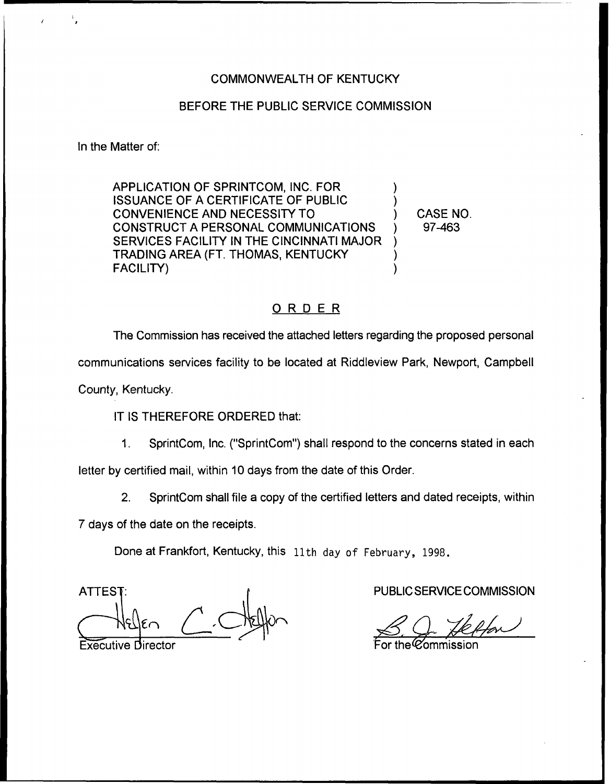### COMMONWEALTH OF KENTUCKY

### BEFORE THE PUBLIC SERVICE COMMISSION

In the Matter of:

APPLICATION OF SPRINTCOM, INC. FOR ISSUANCE OF A CERTIFICATE OF PUBLIC CONVENIENCE AND NECESSITY TO CONSTRUCT A PERSONAL COMMUNICATIONS SERVICES FACILITY IN THE CINCINNATI MAJOR TRADING AREA (FT. THOMAS, KENTUCKY FACILITY)

) CASE NO. ) 97-463

) )

) ) )

# ORDER

The Commission has received the attached letters regarding the proposed personal communications services facility to be located at Riddleview Park, Newport, Campbell

County, Kentucky,

IT IS THEREFORE ORDERED that:

1. SprintCom, Inc. ("SprintCom") shall respond to the concerns stated in each letter by certified mail, within 10 days from the date of this Order.

2. SprintCom shall file a copy of the certified letters and dated receipts, within

7 days of the date on the receipts.

Done at Frankfort, Kentucky, this 11th day of February, 1998.

**ATTES** 

**Executive Director** 

PUBLIC SERVICE COMMISSION

MCL .<br>CECOMMISSIO<br>*Jeffon* 

h Ol the Commission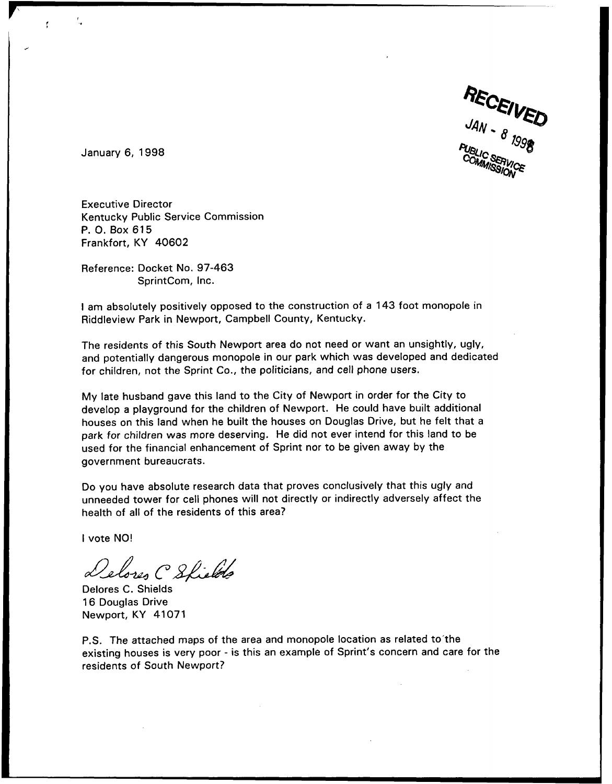

January 6, 1998

Ť

Executive Director Kentucky Public Service Commission P. O. Box 615 Frankfort, KY 40602

Reference: Docket No. 97-463 SprintCom, Inc.

<sup>I</sup> am absolutely positively opposed to the construction of a 143 foot monopole in Riddleview Park in Newport, Campbell County, Kentucky.

The residents of this South Newport area do not need or want an unsightly, ugly, and potentially dangerous monopole in our park which was developed and dedicated for children, not the Sprint Co., the politicians, and cell phone users.

My late husband gave this land to the City of Newport in order for the City to develop a playground for the children of Newport. He could have built additional houses on this land when he built the houses on Douglas Drive, but he felt that a park for children was more deserving. He did not ever intend for this land to be used for the financial enhancement of Sprint nor to be given away by the government bureaucrats.

Do you have absolute research data that proves conclusively that this ugly and unneeded tower for cell phones will not directly or indirectly adversely affect the health of all of the residents of this area?

<sup>I</sup> vote NO!

Delores C Shields

Delores C. Shields 16 Douglas Drive Newport, KY 41071

P.S. The attached maps of the area and monopole location as related to the existing houses is very poor - is this an example of Sprint's concern and care for the residents of South Newport?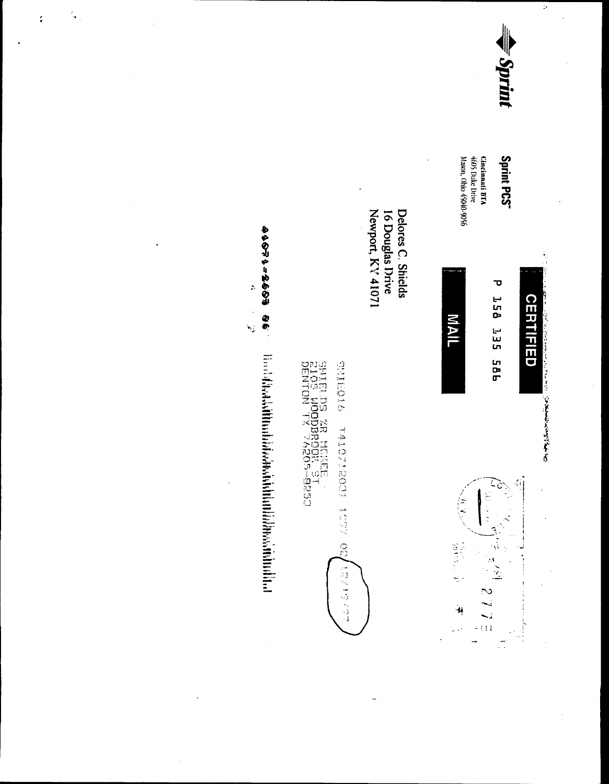

Τ

**CERTIFIED** 

2010年1月1日, 1月1日, 1月1日, 1月1日, 1月1日, 1月1日, 1月1日, 1月1日

 $\ddot{\phantom{a}}$ 

# Sprint PCS<sup>-</sup>

Cincinnati BTA<br>4605 Duke Drive<br>Mason, Ohio 45040-9056







Newport, KY 41071 Delores C. Shields 16 Douglas Drive

**OIOBILS** TAIOZECO9 107 02/18/19/17

SHIELDS XR MCKEE<br>2105 WOODBROCK ST<br>DENTON TX 74205-9250

**99 695-1950**  $\ddot{\phantom{1}}$  $\ddot{\phantom{0}}$ ا<br>ترجم **Book also state in the construction of the construction of the construction of the construction of the construction of the construction of the construction of the construction of the construction of the construction of th** 

 $\frac{1}{2}$ 

 $\ddot{\cdot}$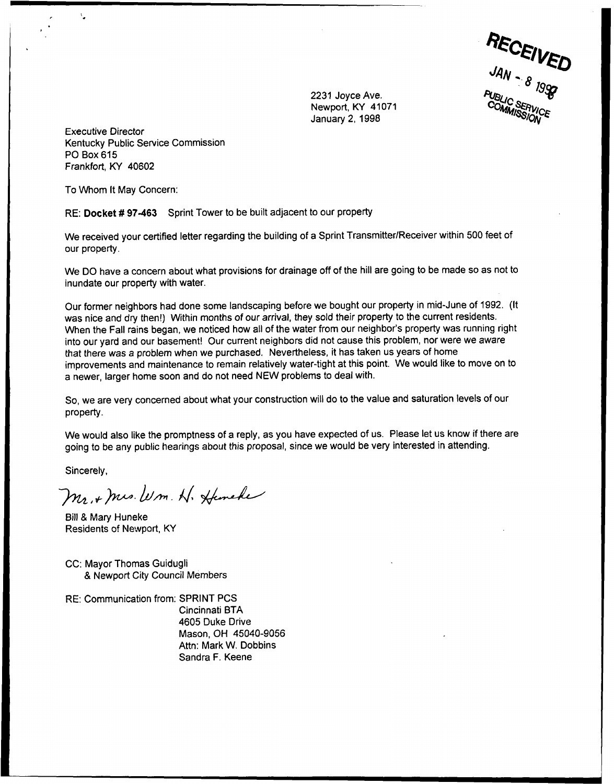JAN UMMISSION<sup>CE</sup>

2231 Joyce Ave. Newport, KY 41071 January 2, 1998

Executive Director Kentucky Public Service Commission PO Box 615 Frankfort, KY 40602

To Whom It May Concern:

 $\mathbf{v}_\bullet$ 

RE: Docket #97-463 Sprint Tower to be built adjacent to our property

We received your certified letter regarding the building of a Sprint Transmitter/Receiver within 500 feet of our property.

We DO have a concern about what provisions for drainage off of the hill are going to be made so as not to inundate our property with water.

Our former neighbors had done some landscaping before we bought our property in mid-June of 1992. (It was nice and dry then!) Within months of our arrival, they sold their property to the current residents. When the Fall rains began, we noticed how all of the water from our neighbor's property was running right into our yard and our basement! Our current neighbors did not cause this problem, nor were we aware that there was a problem when we purchased, Nevertheless, it has taken us years of home improvements and maintenance to remain relatively water-tight at this point. We would like to move on to a newer, larger home soon and do not need NEW problems to deal with.

So, we are very concerned about what your construction will do to the value and saturation levels of our property.

We would also like the promptness of a reply, as you have expected of us. Please let us know if there are going to be any public hearings about this proposal, since we would be very interested in attending.

Sincerely,

Mr. + Mrs. W.m. N. Heneke

Bill 8 Mary Huneke Residents of Newport, KY

- CC: Mayor Thomas Guidugli 8 Newport City Council Members
- RE: Communication from: SPRINT PCS Cincinnati BTA

4605 Duke Drive Mason, OH 45040-9056 Attn: Mark W. Dobbins Sandra F. Keene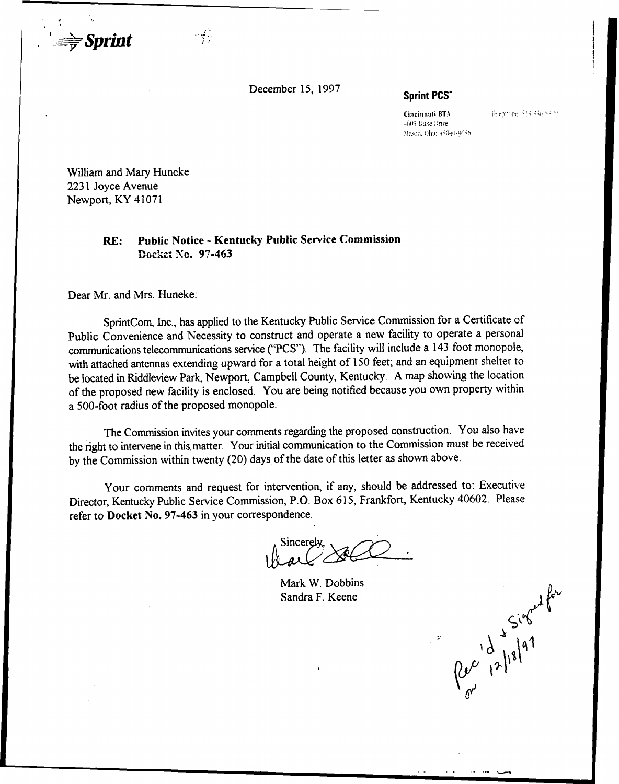December 15, 1997

Sprint PCS

Cincinnati BTA 4605 Duke Drive Mason, Ohio 45040-9056 Telephone: 533-336-5300

Per 12/18/97

William and Mary Huneke 2231 Joyce Avenue Newport, KY 41071

 $\Rightarrow$  Sprint

# RE: Public Notice - Kentucky Public Service Commission Docket No. 97-463

 $\frac{1}{2}$ 

Dear Mr. and Mrs. Huneke:

SprintCom, Inc., has applied to the Kentucky Public Service Commission for a Certificate of Public Convenience and Necessity to construct and operate a new facility to operate a personal communications telecommunications service ("PCS"). The facility will include a 143 foot monopole, with attached antennas extending upward for a total height of 150 feet; and an equipment shelter to be located in Riddleview Park, Newport, Campbell County, Kentucky. A map showing the location of the proposed new facility is enclosed. You are being notified because you own property within a 500-foot radius of the proposed monopole.

The Commission invites your comments regarding the proposed construction. You also have the right to intervene in this. matter. Your initial communication to the Commission must be received by the Commission within twenty (20) days of the date of this letter as shown above.

Your comments and request for intervention, if any, should be addressed to: Executive Director, Kentucky Public Service Commission, P.O. Box 615, Frankfort, Kentucky 40602. Please refer to Docket No. 97-463 in your correspondence.

Mark W. Dobbins Sandra F. Keene